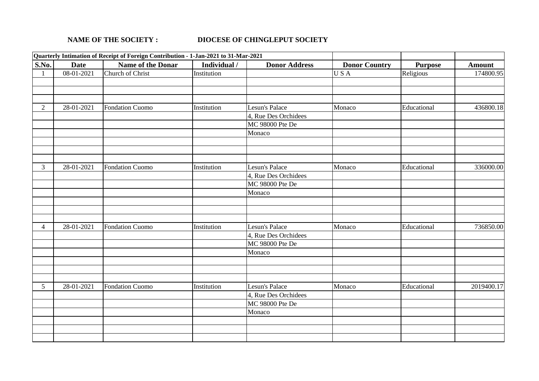## **NAME OF THE SOCIETY : DIOCESE OF CHINGLEPUT SOCIETY**

|                |                             | Quarterly Intimation of Receipt of Foreign Contribution - 1-Jan-2021 to 31-Mar-2021 |              |                      |                      |                |               |
|----------------|-----------------------------|-------------------------------------------------------------------------------------|--------------|----------------------|----------------------|----------------|---------------|
| S.No.          | <b>Date</b>                 | Name of the Donar                                                                   | Individual / | <b>Donor Address</b> | <b>Donor Country</b> | <b>Purpose</b> | <b>Amount</b> |
|                | $\overline{08} - 01 - 2021$ | Church of Christ                                                                    | Institution  |                      | <b>USA</b>           | Religious      | 174800.95     |
|                |                             |                                                                                     |              |                      |                      |                |               |
|                |                             |                                                                                     |              |                      |                      |                |               |
|                |                             |                                                                                     |              |                      |                      |                |               |
| $\overline{2}$ | 28-01-2021                  | <b>Fondation Cuomo</b>                                                              | Institution  | Lesun's Palace       | Monaco               | Educational    | 436800.18     |
|                |                             |                                                                                     |              | 4, Rue Des Orchidees |                      |                |               |
|                |                             |                                                                                     |              | MC 98000 Pte De      |                      |                |               |
|                |                             |                                                                                     |              | Monaco               |                      |                |               |
|                |                             |                                                                                     |              |                      |                      |                |               |
|                |                             |                                                                                     |              |                      |                      |                |               |
|                |                             |                                                                                     |              |                      |                      |                |               |
| $\mathfrak{Z}$ | 28-01-2021                  | <b>Fondation Cuomo</b>                                                              | Institution  | Lesun's Palace       | Monaco               | Educational    | 336000.00     |
|                |                             |                                                                                     |              | 4, Rue Des Orchidees |                      |                |               |
|                |                             |                                                                                     |              | MC 98000 Pte De      |                      |                |               |
|                |                             |                                                                                     |              | Monaco               |                      |                |               |
|                |                             |                                                                                     |              |                      |                      |                |               |
|                |                             |                                                                                     |              |                      |                      |                |               |
|                |                             |                                                                                     |              |                      |                      |                |               |
| 4              | 28-01-2021                  | <b>Fondation Cuomo</b>                                                              | Institution  | Lesun's Palace       | Monaco               | Educational    | 736850.00     |
|                |                             |                                                                                     |              | 4, Rue Des Orchidees |                      |                |               |
|                |                             |                                                                                     |              | MC 98000 Pte De      |                      |                |               |
|                |                             |                                                                                     |              | Monaco               |                      |                |               |
|                |                             |                                                                                     |              |                      |                      |                |               |
|                |                             |                                                                                     |              |                      |                      |                |               |
|                |                             |                                                                                     |              |                      |                      |                |               |
| 5 <sup>1</sup> | 28-01-2021                  | Fondation Cuomo                                                                     | Institution  | Lesun's Palace       | Monaco               | Educational    | 2019400.17    |
|                |                             |                                                                                     |              | 4, Rue Des Orchidees |                      |                |               |
|                |                             |                                                                                     |              | MC 98000 Pte De      |                      |                |               |
|                |                             |                                                                                     |              |                      |                      |                |               |
|                |                             |                                                                                     |              | Monaco               |                      |                |               |
|                |                             |                                                                                     |              |                      |                      |                |               |
|                |                             |                                                                                     |              |                      |                      |                |               |
|                |                             |                                                                                     |              |                      |                      |                |               |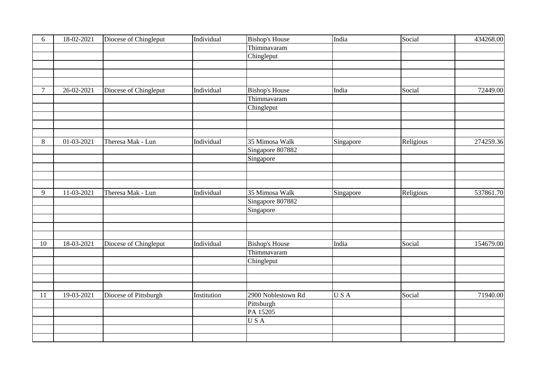| 6              | 18-02-2021       | Diocese of Chingleput | Individual  | <b>Bishop's House</b> | India     | Social    | 434268.00 |
|----------------|------------------|-----------------------|-------------|-----------------------|-----------|-----------|-----------|
|                |                  |                       |             | Thimmavaram           |           |           |           |
|                |                  |                       |             | Chingleput            |           |           |           |
|                |                  |                       |             |                       |           |           |           |
|                |                  |                       |             |                       |           |           |           |
|                |                  |                       |             |                       |           |           |           |
| $\overline{7}$ | 26-02-2021       | Diocese of Chingleput | Individual  | <b>Bishop's House</b> | India     | Social    | 72449.00  |
|                |                  |                       |             | Thimmavaram           |           |           |           |
|                |                  |                       |             | Chingleput            |           |           |           |
|                |                  |                       |             |                       |           |           |           |
|                |                  |                       |             |                       |           |           |           |
|                |                  |                       |             |                       |           |           |           |
| 8              | $01 - 03 - 2021$ | Theresa Mak - Lun     | Individual  | 35 Mimosa Walk        | Singapore | Religious | 274259.36 |
|                |                  |                       |             | Singapore 807882      |           |           |           |
|                |                  |                       |             | Singapore             |           |           |           |
|                |                  |                       |             |                       |           |           |           |
|                |                  |                       |             |                       |           |           |           |
|                |                  |                       |             |                       |           |           |           |
| 9              | 11-03-2021       | Theresa Mak - Lun     | Individual  | 35 Mimosa Walk        | Singapore | Religious | 537861.70 |
|                |                  |                       |             | Singapore 807882      |           |           |           |
|                |                  |                       |             | Singapore             |           |           |           |
|                |                  |                       |             |                       |           |           |           |
|                |                  |                       |             |                       |           |           |           |
|                |                  |                       |             |                       |           |           |           |
| $10\,$         | 18-03-2021       | Diocese of Chingleput | Individual  | <b>Bishop's House</b> | India     | Social    | 154679.00 |
|                |                  |                       |             | Thimmavaram           |           |           |           |
|                |                  |                       |             | Chingleput            |           |           |           |
|                |                  |                       |             |                       |           |           |           |
|                |                  |                       |             |                       |           |           |           |
|                |                  |                       |             |                       |           |           |           |
| 11             | 19-03-2021       | Diocese of Pittsburgh | Institution | 2900 Noblestown Rd    | USA       | Social    | 71940.00  |
|                |                  |                       |             | Pittsburgh            |           |           |           |
|                |                  |                       |             | PA 15205              |           |           |           |
|                |                  |                       |             | USA                   |           |           |           |
|                |                  |                       |             |                       |           |           |           |
|                |                  |                       |             |                       |           |           |           |
|                |                  |                       |             |                       |           |           |           |